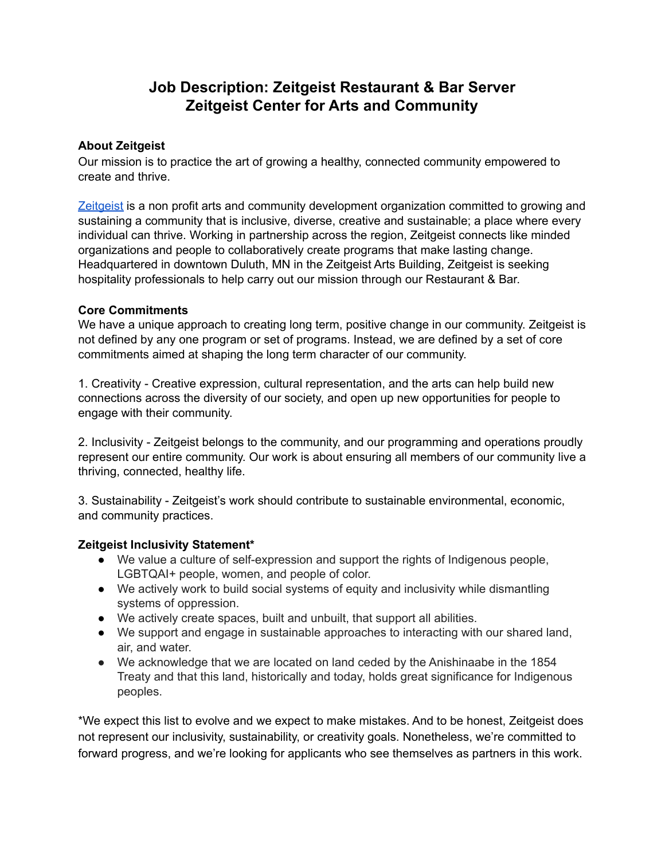# **Job Description: Zeitgeist Restaurant & Bar Server Zeitgeist Center for Arts and Community**

#### **About Zeitgeist**

Our mission is to practice the art of growing a healthy, connected community empowered to create and thrive.

[Zeitgeist](https://zeitgeistarts.com/) is a non profit arts and community development organization committed to growing and sustaining a community that is inclusive, diverse, creative and sustainable; a place where every individual can thrive. Working in partnership across the region, Zeitgeist connects like minded organizations and people to collaboratively create programs that make lasting change. Headquartered in downtown Duluth, MN in the Zeitgeist Arts Building, Zeitgeist is seeking hospitality professionals to help carry out our mission through our Restaurant & Bar.

#### **Core Commitments**

We have a unique approach to creating long term, positive change in our community. Zeitgeist is not defined by any one program or set of programs. Instead, we are defined by a set of core commitments aimed at shaping the long term character of our community.

1. Creativity - Creative expression, cultural representation, and the arts can help build new connections across the diversity of our society, and open up new opportunities for people to engage with their community.

2. Inclusivity - Zeitgeist belongs to the community, and our programming and operations proudly represent our entire community. Our work is about ensuring all members of our community live a thriving, connected, healthy life.

3. Sustainability - Zeitgeist's work should contribute to sustainable environmental, economic, and community practices.

#### **Zeitgeist Inclusivity Statement\***

- We value a culture of self-expression and support the rights of Indigenous people, LGBTQAI+ people, women, and people of color.
- We actively work to build social systems of equity and inclusivity while dismantling systems of oppression.
- We actively create spaces, built and unbuilt, that support all abilities.
- We support and engage in sustainable approaches to interacting with our shared land, air, and water.
- We acknowledge that we are located on land ceded by the Anishinaabe in the 1854 Treaty and that this land, historically and today, holds great significance for Indigenous peoples.

\*We expect this list to evolve and we expect to make mistakes. And to be honest, Zeitgeist does not represent our inclusivity, sustainability, or creativity goals. Nonetheless, we're committed to forward progress, and we're looking for applicants who see themselves as partners in this work.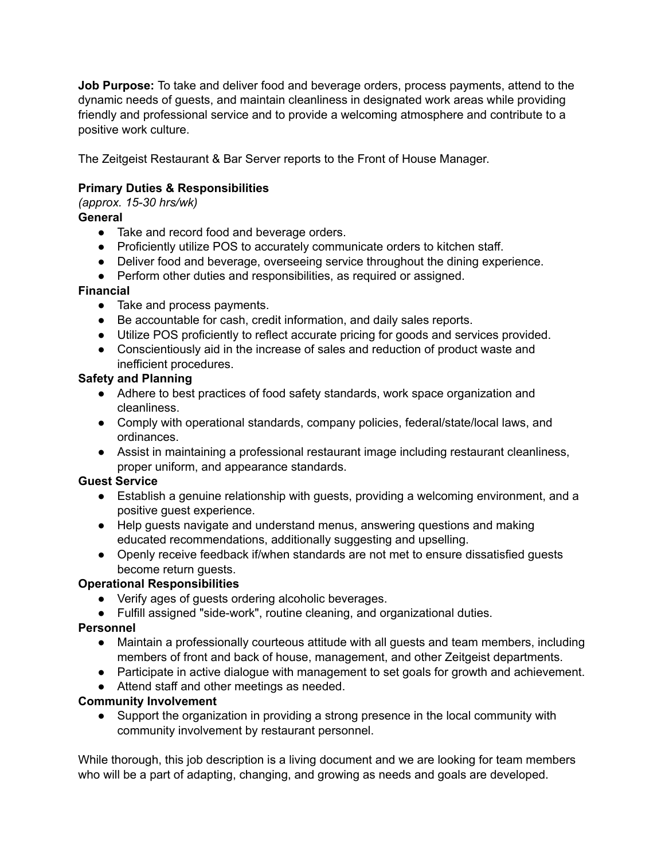**Job Purpose:** To take and deliver food and beverage orders, process payments, attend to the dynamic needs of guests, and maintain cleanliness in designated work areas while providing friendly and professional service and to provide a welcoming atmosphere and contribute to a positive work culture.

The Zeitgeist Restaurant & Bar Server reports to the Front of House Manager.

## **Primary Duties & Responsibilities**

*(approx. 15-30 hrs/wk)*

# **General**

- Take and record food and beverage orders.
- Proficiently utilize POS to accurately communicate orders to kitchen staff.
- Deliver food and beverage, overseeing service throughout the dining experience.
- Perform other duties and responsibilities, as required or assigned.

#### **Financial**

- Take and process payments.
- Be accountable for cash, credit information, and daily sales reports.
- Utilize POS proficiently to reflect accurate pricing for goods and services provided.
- Conscientiously aid in the increase of sales and reduction of product waste and inefficient procedures.

## **Safety and Planning**

- Adhere to best practices of food safety standards, work space organization and cleanliness.
- Comply with operational standards, company policies, federal/state/local laws, and ordinances.
- Assist in maintaining a professional restaurant image including restaurant cleanliness, proper uniform, and appearance standards.

## **Guest Service**

- Establish a genuine relationship with guests, providing a welcoming environment, and a positive guest experience.
- Help guests navigate and understand menus, answering questions and making educated recommendations, additionally suggesting and upselling.
- Openly receive feedback if/when standards are not met to ensure dissatisfied guests become return guests.

## **Operational Responsibilities**

- Verify ages of guests ordering alcoholic beverages.
- Fulfill assigned "side-work", routine cleaning, and organizational duties.

#### **Personnel**

- Maintain a professionally courteous attitude with all guests and team members, including members of front and back of house, management, and other Zeitgeist departments.
- Participate in active dialogue with management to set goals for growth and achievement.
- Attend staff and other meetings as needed.

## **Community Involvement**

● Support the organization in providing a strong presence in the local community with community involvement by restaurant personnel.

While thorough, this job description is a living document and we are looking for team members who will be a part of adapting, changing, and growing as needs and goals are developed.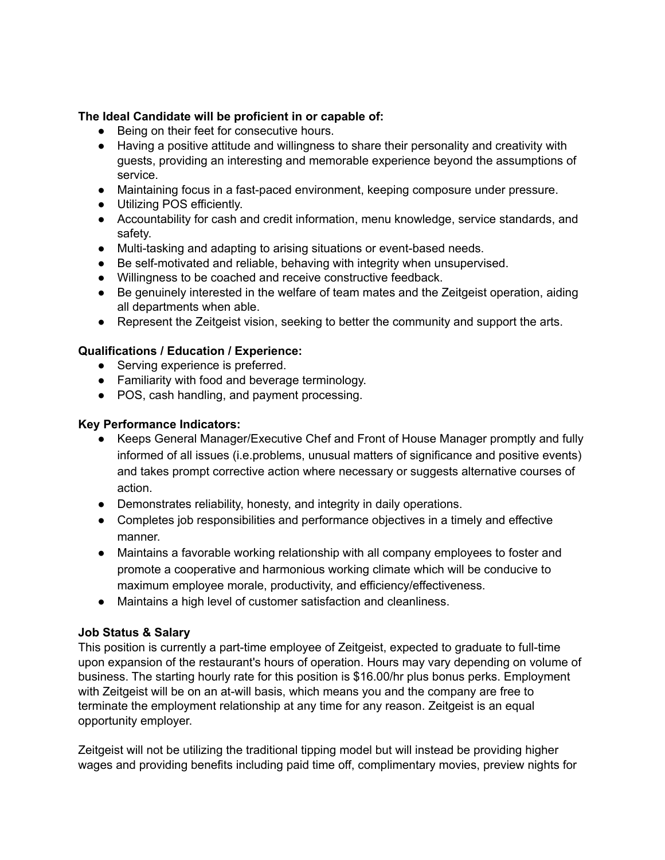#### **The Ideal Candidate will be proficient in or capable of:**

- Being on their feet for consecutive hours.
- Having a positive attitude and willingness to share their personality and creativity with guests, providing an interesting and memorable experience beyond the assumptions of service.
- Maintaining focus in a fast-paced environment, keeping composure under pressure.
- Utilizing POS efficiently.
- Accountability for cash and credit information, menu knowledge, service standards, and safety.
- Multi-tasking and adapting to arising situations or event-based needs.
- Be self-motivated and reliable, behaving with integrity when unsupervised.
- Willingness to be coached and receive constructive feedback.
- Be genuinely interested in the welfare of team mates and the Zeitgeist operation, aiding all departments when able.
- Represent the Zeitgeist vision, seeking to better the community and support the arts.

#### **Qualifications / Education / Experience:**

- **●** Serving experience is preferred.
- **●** Familiarity with food and beverage terminology.
- POS, cash handling, and payment processing.

#### **Key Performance Indicators:**

- Keeps General Manager/Executive Chef and Front of House Manager promptly and fully informed of all issues (i.e.problems, unusual matters of significance and positive events) and takes prompt corrective action where necessary or suggests alternative courses of action.
- Demonstrates reliability, honesty, and integrity in daily operations.
- Completes job responsibilities and performance objectives in a timely and effective manner.
- Maintains a favorable working relationship with all company employees to foster and promote a cooperative and harmonious working climate which will be conducive to maximum employee morale, productivity, and efficiency/effectiveness.
- Maintains a high level of customer satisfaction and cleanliness.

#### **Job Status & Salary**

This position is currently a part-time employee of Zeitgeist, expected to graduate to full-time upon expansion of the restaurant's hours of operation. Hours may vary depending on volume of business. The starting hourly rate for this position is \$16.00/hr plus bonus perks. Employment with Zeitgeist will be on an at-will basis, which means you and the company are free to terminate the employment relationship at any time for any reason. Zeitgeist is an equal opportunity employer.

Zeitgeist will not be utilizing the traditional tipping model but will instead be providing higher wages and providing benefits including paid time off, complimentary movies, preview nights for